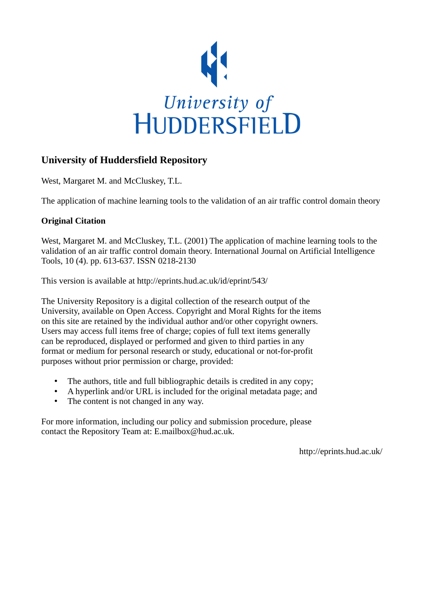

# **University of Huddersfield Repository**

West, Margaret M. and McCluskey, T.L.

The application of machine learning tools to the validation of an air traffic control domain theory

# **Original Citation**

West, Margaret M. and McCluskey, T.L. (2001) The application of machine learning tools to the validation of an air traffic control domain theory. International Journal on Artificial Intelligence Tools, 10 (4). pp. 613-637. ISSN 0218-2130

This version is available at http://eprints.hud.ac.uk/id/eprint/543/

The University Repository is a digital collection of the research output of the University, available on Open Access. Copyright and Moral Rights for the items on this site are retained by the individual author and/or other copyright owners. Users may access full items free of charge; copies of full text items generally can be reproduced, displayed or performed and given to third parties in any format or medium for personal research or study, educational or not-for-profit purposes without prior permission or charge, provided:

- The authors, title and full bibliographic details is credited in any copy;
- A hyperlink and/or URL is included for the original metadata page; and
- The content is not changed in any way.

For more information, including our policy and submission procedure, please contact the Repository Team at: E.mailbox@hud.ac.uk.

http://eprints.hud.ac.uk/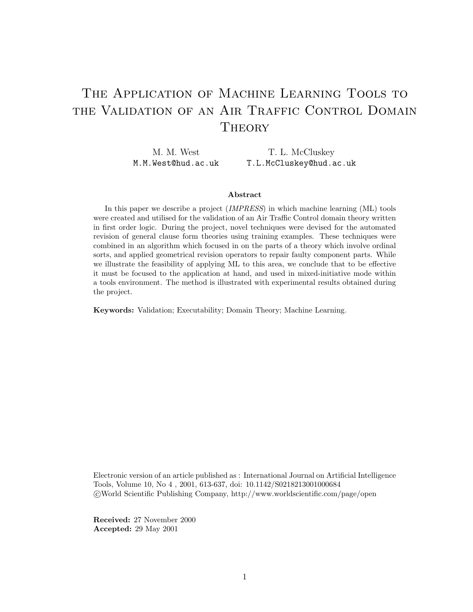# The Application of Machine Learning Tools to the Validation of an Air Traffic Control Domain **THEORY**

M. M. West M.M.West@hud.ac.uk T. L. McCluskey T.L.McCluskey@hud.ac.uk

#### Abstract

In this paper we describe a project (IMPRESS) in which machine learning (ML) tools were created and utilised for the validation of an Air Traffic Control domain theory written in first order logic. During the project, novel techniques were devised for the automated revision of general clause form theories using training examples. These techniques were combined in an algorithm which focused in on the parts of a theory which involve ordinal sorts, and applied geometrical revision operators to repair faulty component parts. While we illustrate the feasibility of applying ML to this area, we conclude that to be effective it must be focused to the application at hand, and used in mixed-initiative mode within a tools environment. The method is illustrated with experimental results obtained during the project.

Keywords: Validation; Executability; Domain Theory; Machine Learning.

Electronic version of an article published as : International Journal on Artificial Intelligence Tools, Volume 10, No 4 , 2001, 613-637, doi: 10.1142/S0218213001000684 c World Scientific Publishing Company, http://www.worldscientific.com/page/open

Received: 27 November 2000 Accepted: 29 May 2001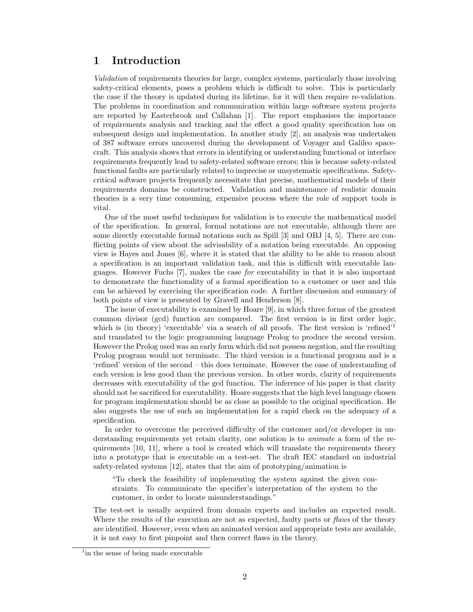## 1 Introduction

Validation of requirements theories for large, complex systems, particularly those involving safety-critical elements, poses a problem which is difficult to solve. This is particularly the case if the theory is updated during its lifetime, for it will then require re-validation. The problems in coordination and communication within large software system projects are reported by Easterbrook and Callahan [1]. The report emphasises the importance of requirements analysis and tracking and the effect a good quality specification has on subsequent design and implementation. In another study [2], an analysis was undertaken of 387 software errors uncovered during the development of Voyager and Galileo spacecraft. This analysis shows that errors in identifying or understanding functional or interface requirements frequently lead to safety-related software errors; this is because safety-related functional faults are particularly related to imprecise or unsystematic specifications. Safetycritical software projects frequently necessitate that precise, mathematical models of their requirements domains be constructed. Validation and maintenance of realistic domain theories is a very time consuming, expensive process where the role of support tools is vital.

One of the most useful techniques for validation is to execute the mathematical model of the specification. In general, formal notations are not executable, although there are some directly executable formal notations such as Spill [3] and OBJ [4, 5]. There are conflicting points of view about the advisability of a notation being executable. An opposing view is Hayes and Jones [6], where it is stated that the ability to be able to reason about a specification is an important validation task, and this is difficult with executable languages. However Fuchs [7], makes the case for executability in that it is also important to demonstrate the functionality of a formal specification to a customer or user and this can be achieved by exercising the specification code. A further discussion and summary of both points of view is presented by Gravell and Henderson [8].

The issue of executability is examined by Hoare [9], in which three forms of the greatest common divisor (gcd) function are compared. The first version is in first order logic, which is (in theory) 'executable' via a search of all proofs. The first version is 'refined'<sup>1</sup> and translated to the logic programming language Prolog to produce the second version. However the Prolog used was an early form which did not possess negation, and the resulting Prolog program would not terminate. The third version is a functional program and is a 'refined' version of the second – this does terminate. However the ease of understanding of each version is less good than the previous version. In other words, clarity of requirements decreases with executability of the gcd function. The inference of his paper is that clarity should not be sacrificed for executability. Hoare suggests that the high level language chosen for program implementation should be as close as possible to the original specification. He also suggests the use of such an implementation for a rapid check on the adequacy of a specification.

In order to overcome the perceived difficulty of the customer and/or developer in understanding requirements yet retain clarity, one solution is to animate a form of the requirements [10, 11], where a tool is created which will translate the requirements theory into a prototype that is executable on a test-set. The draft IEC standard on industrial safety-related systems [12], states that the aim of prototyping/animation is

"To check the feasibility of implementing the system against the given constraints. To communicate the specifier's interpretation of the system to the customer, in order to locate misunderstandings."

The test-set is usually acquired from domain experts and includes an expected result. Where the results of the execution are not as expected, faulty parts or *flaws* of the theory are identified. However, even when an animated version and appropriate tests are available, it is not easy to first pinpoint and then correct flaws in the theory.

<sup>&</sup>lt;sup>1</sup> in the sense of being made executable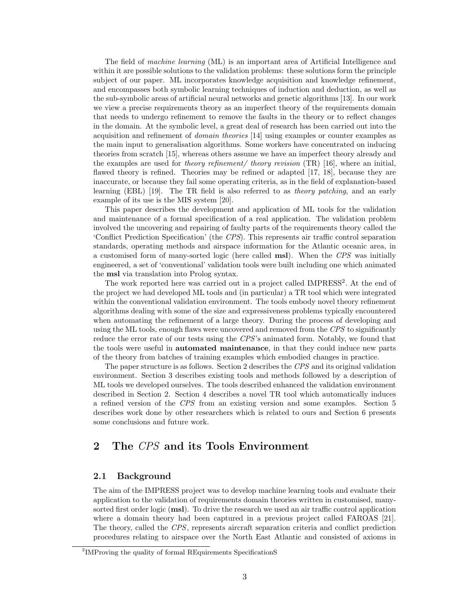The field of machine learning (ML) is an important area of Artificial Intelligence and within it are possible solutions to the validation problems: these solutions form the principle subject of our paper. ML incorporates knowledge acquisition and knowledge refinement, and encompasses both symbolic learning techniques of induction and deduction, as well as the sub-symbolic areas of artificial neural networks and genetic algorithms [13]. In our work we view a precise requirements theory as an imperfect theory of the requirements domain that needs to undergo refinement to remove the faults in the theory or to reflect changes in the domain. At the symbolic level, a great deal of research has been carried out into the acquisition and refinement of domain theories [14] using examples or counter examples as the main input to generalisation algorithms. Some workers have concentrated on inducing theories from scratch [15], whereas others assume we have an imperfect theory already and the examples are used for theory refinement/ theory revision (TR) [16], where an initial, flawed theory is refined. Theories may be refined or adapted [17, 18], because they are inaccurate, or because they fail some operating criteria, as in the field of explanation-based learning (EBL) [19]. The TR field is also referred to as theory patching, and an early example of its use is the MIS system [20].

This paper describes the development and application of ML tools for the validation and maintenance of a formal specification of a real application. The validation problem involved the uncovering and repairing of faulty parts of the requirements theory called the 'Conflict Prediction Specification' (the CPS). This represents air traffic control separation standards, operating methods and airspace information for the Atlantic oceanic area, in a customised form of many-sorted logic (here called msl). When the CPS was initially engineered, a set of 'conventional' validation tools were built including one which animated the msl via translation into Prolog syntax.

The work reported here was carried out in a project called IMPRESS<sup>2</sup>. At the end of the project we had developed ML tools and (in particular) a TR tool which were integrated within the conventional validation environment. The tools embody novel theory refinement algorithms dealing with some of the size and expressiveness problems typically encountered when automating the refinement of a large theory. During the process of developing and using the ML tools, enough flaws were uncovered and removed from the CPS to significantly reduce the error rate of our tests using the CPS's animated form. Notably, we found that the tools were useful in automated maintenance, in that they could induce new parts of the theory from batches of training examples which embodied changes in practice.

The paper structure is as follows. Section 2 describes the CPS and its original validation environment. Section 3 describes existing tools and methods followed by a description of ML tools we developed ourselves. The tools described enhanced the validation environment described in Section 2. Section 4 describes a novel TR tool which automatically induces a refined version of the CPS from an existing version and some examples. Section 5 describes work done by other researchers which is related to ours and Section 6 presents some conclusions and future work.

# 2 The CPS and its Tools Environment

#### 2.1 Background

The aim of the IMPRESS project was to develop machine learning tools and evaluate their application to the validation of requirements domain theories written in customised, manysorted first order logic (msl). To drive the research we used an air traffic control application where a domain theory had been captured in a previous project called FAROAS [21]. The theory, called the CPS, represents aircraft separation criteria and conflict prediction procedures relating to airspace over the North East Atlantic and consisted of axioms in

<sup>&</sup>lt;sup>2</sup>IMProving the quality of formal REquirements SpecificationS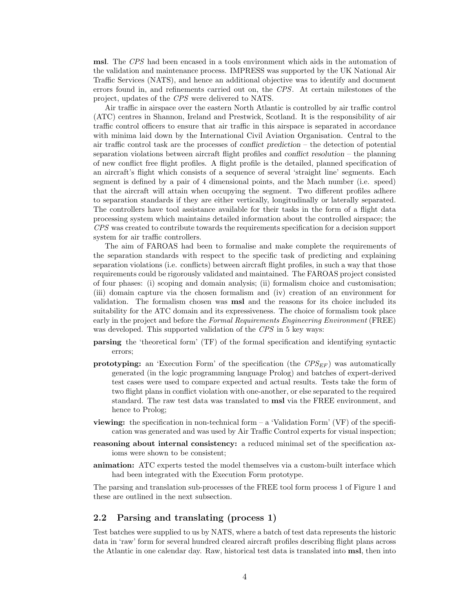msl. The CPS had been encased in a tools environment which aids in the automation of the validation and maintenance process. IMPRESS was supported by the UK National Air Traffic Services (NATS), and hence an additional objective was to identify and document errors found in, and refinements carried out on, the CPS. At certain milestones of the project, updates of the CPS were delivered to NATS.

Air traffic in airspace over the eastern North Atlantic is controlled by air traffic control (ATC) centres in Shannon, Ireland and Prestwick, Scotland. It is the responsibility of air traffic control officers to ensure that air traffic in this airspace is separated in accordance with minima laid down by the International Civil Aviation Organisation. Central to the air traffic control task are the processes of conflict prediction – the detection of potential separation violations between aircraft flight profiles and conflict resolution – the planning of new conflict free flight profiles. A flight profile is the detailed, planned specification of an aircraft's flight which consists of a sequence of several 'straight line' segments. Each segment is defined by a pair of 4 dimensional points, and the Mach number (i.e. speed) that the aircraft will attain when occupying the segment. Two different profiles adhere to separation standards if they are either vertically, longitudinally or laterally separated. The controllers have tool assistance available for their tasks in the form of a flight data processing system which maintains detailed information about the controlled airspace; the CPS was created to contribute towards the requirements specification for a decision support system for air traffic controllers.

The aim of FAROAS had been to formalise and make complete the requirements of the separation standards with respect to the specific task of predicting and explaining separation violations (i.e. conflicts) between aircraft flight profiles, in such a way that those requirements could be rigorously validated and maintained. The FAROAS project consisted of four phases: (i) scoping and domain analysis; (ii) formalism choice and customisation; (iii) domain capture via the chosen formalism and (iv) creation of an environment for validation. The formalism chosen was msl and the reasons for its choice included its suitability for the ATC domain and its expressiveness. The choice of formalism took place early in the project and before the Formal Requirements Engineering Environment (FREE) was developed. This supported validation of the CPS in 5 key ways:

- parsing the 'theoretical form' (TF) of the formal specification and identifying syntactic errors;
- **prototyping:** an 'Execution Form' of the specification (the  $CPS_{EF}$ ) was automatically generated (in the logic programming language Prolog) and batches of expert-derived test cases were used to compare expected and actual results. Tests take the form of two flight plans in conflict violation with one-another, or else separated to the required standard. The raw test data was translated to msl via the FREE environment, and hence to Prolog;
- **viewing:** the specification in non-technical form  $-$  a 'Validation Form' (VF) of the specification was generated and was used by Air Traffic Control experts for visual inspection;
- reasoning about internal consistency: a reduced minimal set of the specification axioms were shown to be consistent;
- animation: ATC experts tested the model themselves via a custom-built interface which had been integrated with the Execution Form prototype.

The parsing and translation sub-processes of the FREE tool form process 1 of Figure 1 and these are outlined in the next subsection.

### 2.2 Parsing and translating (process 1)

Test batches were supplied to us by NATS, where a batch of test data represents the historic data in 'raw' form for several hundred cleared aircraft profiles describing flight plans across the Atlantic in one calendar day. Raw, historical test data is translated into msl, then into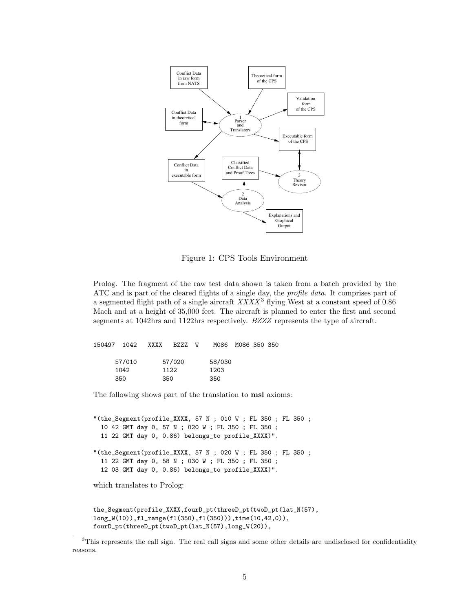

Figure 1: CPS Tools Environment

Prolog. The fragment of the raw test data shown is taken from a batch provided by the ATC and is part of the cleared flights of a single day, the *profile data*. It comprises part of a segmented flight path of a single aircraft  $XXXX^3$  flying West at a constant speed of 0.86 Mach and at a height of 35,000 feet. The aircraft is planned to enter the first and second segments at 1042hrs and 1122hrs respectively. BZZZ represents the type of aircraft.

| 150497 | 1042 | xxxx   | BZZZ | W | M086 M086 350 350 |  |  |
|--------|------|--------|------|---|-------------------|--|--|
|        |      |        |      |   |                   |  |  |
| 57/010 |      | 57/020 |      |   | 58/030            |  |  |
| 1042   |      | 1122   |      |   | 1203              |  |  |
| 350    |      | 350    |      |   | 350               |  |  |

The following shows part of the translation to msl axioms:

```
"(the_Segment(profile_XXXX, 57 N ; 010 W ; FL 350 ; FL 350 ;
  10 42 GMT day 0, 57 N ; 020 W ; FL 350 ; FL 350 ;
  11 22 GMT day 0, 0.86) belongs_to profile_XXXX)".
"(the_Segment(profile_XXXX, 57 N ; 020 W ; FL 350 ; FL 350 ;
  11 22 GMT day 0, 58 N ; 030 W ; FL 350 ; FL 350 ;
  12 03 GMT day 0, 0.86) belongs_to profile_XXXX)".
which translates to Prolog:
```

```
the_Segment(profile_XXXX,fourD_pt(threeD_pt(twoD_pt(lat_N(57),
long_W(10)),fl_range(fl(350),fl(350))),time(10,42,0)),
fourD_pt(threeD_pt(twoD_pt(lat_N(57),long_W(20)),
```
<sup>&</sup>lt;sup>3</sup>This represents the call sign. The real call signs and some other details are undisclosed for confidentiality reasons.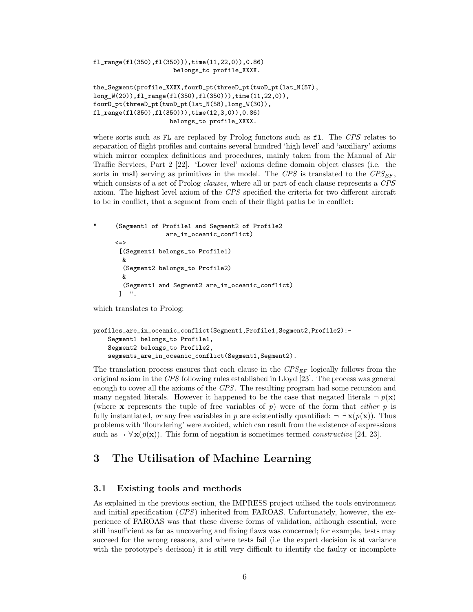```
fl_range(fl(350),fl(350))),time(11,22,0)),0.86)
                      belongs_to profile_XXXX.
the_Segment(profile_XXXX,fourD_pt(threeD_pt(twoD_pt(lat_N(57),
long_W(20)),fl_range(fl(350),fl(350))),time(11,22,0)),
fourD_pt(threeD_pt(twoD_pt(lat_N(58),long_W(30)),
fl_range(fl(350),fl(350))),time(12,3,0)),0.86)
                     belongs_to profile_XXXX.
```
where sorts such as FL are replaced by Prolog functors such as fl. The CPS relates to separation of flight profiles and contains several hundred 'high level' and 'auxiliary' axioms which mirror complex definitions and procedures, mainly taken from the Manual of Air Traffic Services, Part 2 [22]. 'Lower level' axioms define domain object classes (i.e. the sorts in msl) serving as primitives in the model. The CPS is translated to the  $CPS_{EF}$ , which consists of a set of Prolog *clauses*, where all or part of each clause represents a CPS axiom. The highest level axiom of the CPS specified the criteria for two different aircraft to be in conflict, that a segment from each of their flight paths be in conflict:

```
(Segment1 of Profile1 and Segment2 of Profile2
              are_in_oceanic_conflict)
\langle=>
 [(Segment1 belongs_to Profile1)
  &
  (Segment2 belongs_to Profile2)
  &
  (Segment1 and Segment2 are_in_oceanic_conflict)
 ] ".
```
which translates to Prolog:

```
profiles_are_in_oceanic_conflict(Segment1,Profile1,Segment2,Profile2):-
    Segment1 belongs_to Profile1,
    Segment2 belongs_to Profile2,
    segments_are_in_oceanic_conflict(Segment1,Segment2).
```
The translation process ensures that each clause in the  $CPS_{EF}$  logically follows from the original axiom in the CPS following rules established in Lloyd [23]. The process was general enough to cover all the axioms of the CPS. The resulting program had some recursion and many negated literals. However it happened to be the case that negated literals  $\neg p(\mathbf{x})$ (where **x** represents the tuple of free variables of p) were of the form that *either* p is fully instantiated, or any free variables in p are existentially quantified:  $\neg \exists \mathbf{x}(p(\mathbf{x}))$ . Thus problems with 'floundering' were avoided, which can result from the existence of expressions such as  $\neg \forall \mathbf{x}(p(\mathbf{x}))$ . This form of negation is sometimes termed *constructive* [24, 23].

## 3 The Utilisation of Machine Learning

#### 3.1 Existing tools and methods

As explained in the previous section, the IMPRESS project utilised the tools environment and initial specification  $(CPS)$  inherited from FAROAS. Unfortunately, however, the experience of FAROAS was that these diverse forms of validation, although essential, were still insufficient as far as uncovering and fixing flaws was concerned; for example, tests may succeed for the wrong reasons, and where tests fail (i.e the expert decision is at variance with the prototype's decision) it is still very difficult to identify the faulty or incomplete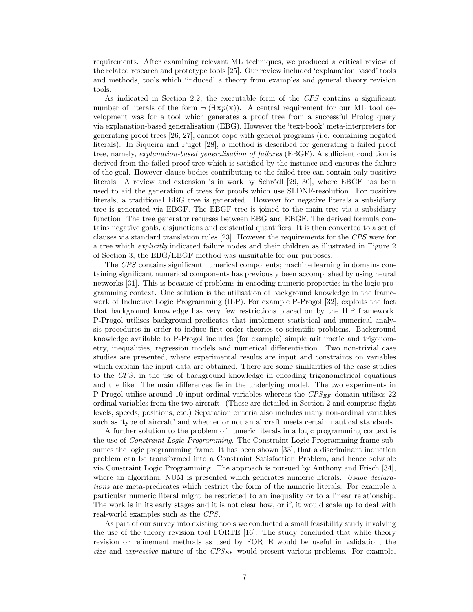requirements. After examining relevant ML techniques, we produced a critical review of the related research and prototype tools [25]. Our review included 'explanation based' tools and methods, tools which 'induced' a theory from examples and general theory revision tools.

As indicated in Section 2.2, the executable form of the CPS contains a significant number of literals of the form  $\neg$  ( $\exists x p(x)$ ). A central requirement for our ML tool development was for a tool which generates a proof tree from a successful Prolog query via explanation-based generalisation (EBG). However the 'text-book' meta-interpreters for generating proof trees [26, 27], cannot cope with general programs (i.e. containing negated literals). In Siqueira and Puget [28], a method is described for generating a failed proof tree, namely, explanation-based generalisation of failures (EBGF). A sufficient condition is derived from the failed proof tree which is satisfied by the instance and ensures the failure of the goal. However clause bodies contributing to the failed tree can contain only positive literals. A review and extension is in work by Schrödl  $[29, 30]$ , where EBGF has been used to aid the generation of trees for proofs which use SLDNF-resolution. For positive literals, a traditional EBG tree is generated. However for negative literals a subsidiary tree is generated via EBGF. The EBGF tree is joined to the main tree via a subsidiary function. The tree generator recurses between EBG and EBGF. The derived formula contains negative goals, disjunctions and existential quantifiers. It is then converted to a set of clauses via standard translation rules [23]. However the requirements for the CPS were for a tree which explicitly indicated failure nodes and their children as illustrated in Figure 2 of Section 3; the EBG/EBGF method was unsuitable for our purposes.

The CPS contains significant numerical components; machine learning in domains containing significant numerical components has previously been accomplished by using neural networks [31]. This is because of problems in encoding numeric properties in the logic programming context. One solution is the utilisation of background knowledge in the framework of Inductive Logic Programming (ILP). For example P-Progol [32], exploits the fact that background knowledge has very few restrictions placed on by the ILP framework. P-Progol utilises background predicates that implement statistical and numerical analysis procedures in order to induce first order theories to scientific problems. Background knowledge available to P-Progol includes (for example) simple arithmetic and trigonometry, inequalities, regression models and numerical differentiation. Two non-trivial case studies are presented, where experimental results are input and constraints on variables which explain the input data are obtained. There are some similarities of the case studies to the CPS, in the use of background knowledge in encoding trigonometrical equations and the like. The main differences lie in the underlying model. The two experiments in P-Progol utilise around 10 input ordinal variables whereas the  $CPS_{EF}$  domain utilises 22 ordinal variables from the two aircraft. (These are detailed in Section 2 and comprise flight levels, speeds, positions, etc.) Separation criteria also includes many non-ordinal variables such as 'type of aircraft' and whether or not an aircraft meets certain nautical standards.

A further solution to the problem of numeric literals in a logic programming context is the use of Constraint Logic Programming. The Constraint Logic Programming frame subsumes the logic programming frame. It has been shown [33], that a discriminant induction problem can be transformed into a Constraint Satisfaction Problem, and hence solvable via Constraint Logic Programming. The approach is pursued by Anthony and Frisch [34], where an algorithm, NUM is presented which generates numeric literals. Usage declarations are meta-predicates which restrict the form of the numeric literals. For example a particular numeric literal might be restricted to an inequality or to a linear relationship. The work is in its early stages and it is not clear how, or if, it would scale up to deal with real-world examples such as the CPS.

As part of our survey into existing tools we conducted a small feasibility study involving the use of the theory revision tool FORTE [16]. The study concluded that while theory revision or refinement methods as used by FORTE would be useful in validation, the size and expressive nature of the  $CPS_{EF}$  would present various problems. For example,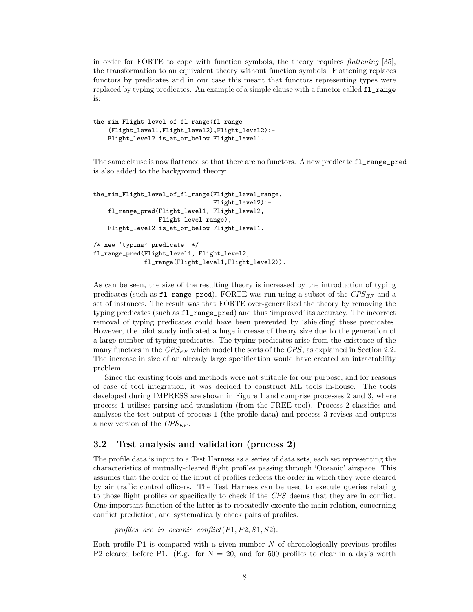in order for FORTE to cope with function symbols, the theory requires flattening [35], the transformation to an equivalent theory without function symbols. Flattening replaces functors by predicates and in our case this meant that functors representing types were replaced by typing predicates. An example of a simple clause with a functor called fl\_range is:

```
the_min_Flight_level_of_fl_range(fl_range
    (Flight_level1,Flight_level2),Flight_level2):-
    Flight_level2 is_at_or_below Flight_level1.
```
The same clause is now flattened so that there are no functors. A new predicate fl\_range\_pred is also added to the background theory:

```
the_min_Flight_level_of_fl_range(Flight_level_range,
                                 Flight_level2):-
    fl_range_pred(Flight_level1, Flight_level2,
                  Flight_level_range),
    Flight_level2 is_at_or_below Flight_level1.
/* new 'typing' predicate */
fl_range_pred(Flight_level1, Flight_level2,
              fl_range(Flight_level1,Flight_level2)).
```
As can be seen, the size of the resulting theory is increased by the introduction of typing predicates (such as  $f1$ -range-pred). FORTE was run using a subset of the  $CPS_{EF}$  and a set of instances. The result was that FORTE over-generalised the theory by removing the typing predicates (such as fl\_range\_pred) and thus 'improved' its accuracy. The incorrect removal of typing predicates could have been prevented by 'shielding' these predicates. However, the pilot study indicated a huge increase of theory size due to the generation of a large number of typing predicates. The typing predicates arise from the existence of the many functors in the  $CPS_{EF}$  which model the sorts of the  $CPS$ , as explained in Section 2.2. The increase in size of an already large specification would have created an intractability problem.

Since the existing tools and methods were not suitable for our purpose, and for reasons of ease of tool integration, it was decided to construct ML tools in-house. The tools developed during IMPRESS are shown in Figure 1 and comprise processes 2 and 3, where process 1 utilises parsing and translation (from the FREE tool). Process 2 classifies and analyses the test output of process 1 (the profile data) and process 3 revises and outputs a new version of the  $CPS_{EF}$ .

### 3.2 Test analysis and validation (process 2)

The profile data is input to a Test Harness as a series of data sets, each set representing the characteristics of mutually-cleared flight profiles passing through 'Oceanic' airspace. This assumes that the order of the input of profiles reflects the order in which they were cleared by air traffic control officers. The Test Harness can be used to execute queries relating to those flight profiles or specifically to check if the CPS deems that they are in conflict. One important function of the latter is to repeatedly execute the main relation, concerning conflict prediction, and systematically check pairs of profiles:

 $profiles\_are\_in\_oceanic\_conflict(P1, P2, S1, S2).$ 

Each profile  $P1$  is compared with a given number N of chronologically previous profiles P2 cleared before P1. (E.g. for  $N = 20$ , and for 500 profiles to clear in a day's worth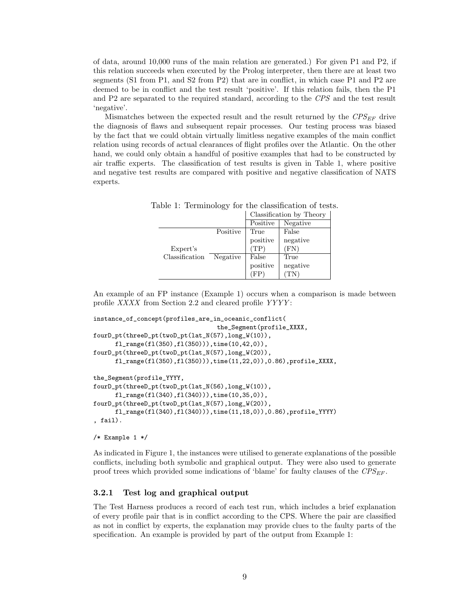of data, around 10,000 runs of the main relation are generated.) For given P1 and P2, if this relation succeeds when executed by the Prolog interpreter, then there are at least two segments (S1 from P1, and S2 from P2) that are in conflict, in which case P1 and P2 are deemed to be in conflict and the test result 'positive'. If this relation fails, then the P1 and P2 are separated to the required standard, according to the CPS and the test result 'negative'.

Mismatches between the expected result and the result returned by the  $CPS_{EF}$  drive the diagnosis of flaws and subsequent repair processes. Our testing process was biased by the fact that we could obtain virtually limitless negative examples of the main conflict relation using records of actual clearances of flight profiles over the Atlantic. On the other hand, we could only obtain a handful of positive examples that had to be constructed by air traffic experts. The classification of test results is given in Table 1, where positive and negative test results are compared with positive and negative classification of NATS experts.

|                |          | Classification by Theory |                 |  |
|----------------|----------|--------------------------|-----------------|--|
|                |          | Positive                 | Negative        |  |
|                | Positive | True                     | False           |  |
|                |          | positive                 | negative        |  |
| Expert's       |          | (TP)                     | $(\mathrm{FN})$ |  |
| Classification | Negative | False                    | True            |  |
|                |          | positive                 | negative        |  |
|                |          | (FP                      | TN              |  |

Table 1: Terminology for the classification of tests.

An example of an FP instance (Example 1) occurs when a comparison is made between profile XXXX from Section 2.2 and cleared profile YYYY :

```
instance_of_concept(profiles_are_in_oceanic_conflict(
                                  the_Segment(profile_XXXX,
fourD_pt(threeD_pt(twoD_pt(lat_N(57),long_W(10)),
      fl_range(fl(350),fl(350))),time(10,42,0)),
fourD_pt(threeD_pt(twoD_pt(lat_N(57),long_W(20)),
      fl_range(fl(350),fl(350))),time(11,22,0)),0.86),profile_XXXX,
the_Segment(profile_YYYY,
fourD_pt(threeD_pt(twoD_pt(lat_N(56),long_W(10)),
      fl_range(fl(340),fl(340))),time(10,35,0)),
fourD_pt(threeD_pt(twoD_pt(lat_N(57),long_W(20)),
      fl_range(fl(340),fl(340))),time(11,18,0)),0.86),profile_YYYY)
, fail).
```

```
/* Example 1 */
```
As indicated in Figure 1, the instances were utilised to generate explanations of the possible conflicts, including both symbolic and graphical output. They were also used to generate proof trees which provided some indications of 'blame' for faulty clauses of the  $CPS_{EF}$ .

#### 3.2.1 Test log and graphical output

The Test Harness produces a record of each test run, which includes a brief explanation of every profile pair that is in conflict according to the CPS. Where the pair are classified as not in conflict by experts, the explanation may provide clues to the faulty parts of the specification. An example is provided by part of the output from Example 1: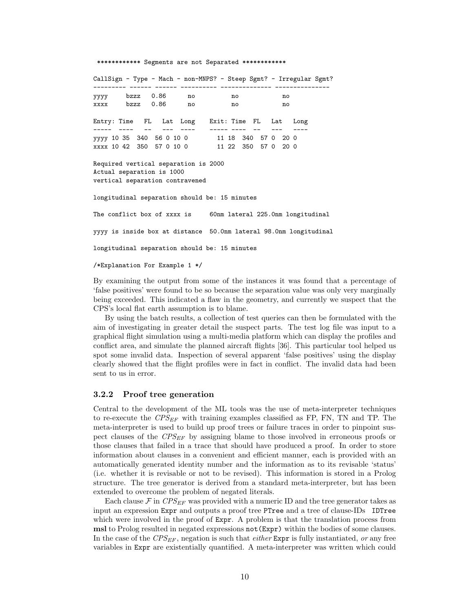\*\*\*\*\*\*\*\*\*\*\*\* Segments are not Separated \*\*\*\*\*\*\*\*\*\*\*\*

CallSign - Type - Mach - non-MNPS? - Steep Sgmt? - Irregular Sgmt? --------- ------ ------ ---------- -------------- -------------- yyyy bzzz 0.86 no no no xxxx bzzz 0.86 no no no Entry: Time FL Lat Long Exit: Time FL Lat Long ----- ---- -- -- --- ---- ----- ---- -- -- -- -yyyy 10 35 340 56 0 10 0 11 18 340 57 0 20 0 xxxx 10 42 350 57 0 10 0 11 22 350 57 0 20 0 Required vertical separation is 2000 Actual separation is 1000 vertical separation contravened longitudinal separation should be: 15 minutes The conflict box of xxxx is 60nm lateral 225.0nm longitudinal yyyy is inside box at distance 50.0nm lateral 98.0nm longitudinal longitudinal separation should be: 15 minutes

```
/*Explanation For Example 1 */
```
By examining the output from some of the instances it was found that a percentage of 'false positives' were found to be so because the separation value was only very marginally being exceeded. This indicated a flaw in the geometry, and currently we suspect that the CPS's local flat earth assumption is to blame.

By using the batch results, a collection of test queries can then be formulated with the aim of investigating in greater detail the suspect parts. The test log file was input to a graphical flight simulation using a multi-media platform which can display the profiles and conflict area, and simulate the planned aircraft flights [36]. This particular tool helped us spot some invalid data. Inspection of several apparent 'false positives' using the display clearly showed that the flight profiles were in fact in conflict. The invalid data had been sent to us in error.

#### 3.2.2 Proof tree generation

Central to the development of the ML tools was the use of meta-interpreter techniques to re-execute the  $CPS_{EF}$  with training examples classified as FP, FN, TN and TP. The meta-interpreter is used to build up proof trees or failure traces in order to pinpoint suspect clauses of the  $CPS_{EF}$  by assigning blame to those involved in erroneous proofs or those clauses that failed in a trace that should have produced a proof. In order to store information about clauses in a convenient and efficient manner, each is provided with an automatically generated identity number and the information as to its revisable 'status' (i.e. whether it is revisable or not to be revised). This information is stored in a Prolog structure. The tree generator is derived from a standard meta-interpreter, but has been extended to overcome the problem of negated literals.

Each clause  $\mathcal F$  in  $CPS_{EF}$  was provided with a numeric ID and the tree generator takes as input an expression Expr and outputs a proof tree PTree and a tree of clause-IDs IDTree which were involved in the proof of Expr. A problem is that the translation process from msl to Prolog resulted in negated expressions not(Expr) within the bodies of some clauses. In the case of the  $CPS_{EF}$ , negation is such that *either* Expr is fully instantiated, or any free variables in Expr are existentially quantified. A meta-interpreter was written which could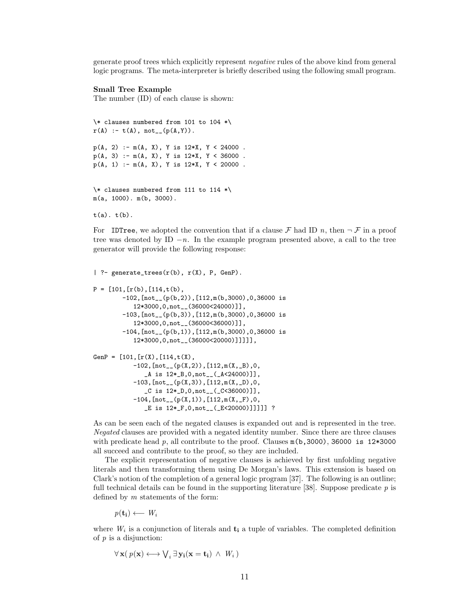generate proof trees which explicitly represent negative rules of the above kind from general logic programs. The meta-interpreter is briefly described using the following small program.

#### Small Tree Example

The number (ID) of each clause is shown:

\\* clauses numbered from 101 to 104 \*\  $r(A)$  :- t(A),  $not_{-}(p(A,Y))$ .  $p(A, 2) := m(A, X), Y$  is  $12*X, Y < 24000$ .  $p(A, 3) := m(A, X), Y$  is  $12*X, Y < 36000$ .  $p(A, 1)$  :- m(A, X), Y is  $12*X$ , Y < 20000.

 $\forall$  clauses numbered from 111 to 114 \*\ m(a, 1000). m(b, 3000).

 $t(a)$ .  $t(b)$ .

For IDTree, we adopted the convention that if a clause F had ID n, then  $\neg$  F in a proof tree was denoted by ID  $-n$ . In the example program presented above, a call to the tree generator will provide the following response:

| ?- generate\_trees(r(b), r(X), P, GenP).  $P = [101, [r(b), [114, t(b)],$ -102,[not\_\_(p(b,2)),[112,m(b,3000),0,36000 is 12\*3000,0,not\_\_(36000<24000)]], -103,[not\_\_(p(b,3)),[112,m(b,3000),0,36000 is 12\*3000,0,not\_\_(36000<36000)]],  $-104$ ,  $[{\rm not}_-(p(b,1))$ ,  $[112,m(b,3000),0,36000$  is 12\*3000,0,not\_\_(36000<20000)]]]]], GenP =  $[101, [r(X), [114, t(X)],$  $-102$ , [ $not_{-(p(X,2))}$ , [112,m(X,  $_B$ ), 0,  $A$  is  $12 * B, 0, \text{not}_-(A < 24000)]$ ,  $-103$ ,  $[{\rm not}$ <sub>-</sub> $(p(X,3))$ ,  $[112,m(X,-D),0]$ , \_C is 12\*\_D,0,not\_\_(\_C<36000)]],  $-104$ ,  $[{\rm not}$ <sub>-</sub> $(p(X,1))$ ,  $[112,m(X,-F),0,$ \_E is 12\*\_F,0,not\_\_(\_E<20000)]]]]] ?

As can be seen each of the negated clauses is expanded out and is represented in the tree. Negated clauses are provided with a negated identity number. Since there are three clauses with predicate head p, all contribute to the proof. Clauses  $m(b,3000)$ , 36000 is 12\*3000 all succeed and contribute to the proof, so they are included.

The explicit representation of negative clauses is achieved by first unfolding negative literals and then transforming them using De Morgan's laws. This extension is based on Clark's notion of the completion of a general logic program [37]. The following is an outline; full technical details can be found in the supporting literature  $[38]$ . Suppose predicate p is defined by  $m$  statements of the form:

 $p(\mathbf{t_i}) \longleftarrow W_i$ 

where  $W_i$  is a conjunction of literals and  $t_i$  a tuple of variables. The completed definition of  $p$  is a disjunction:

$$
\forall \mathbf{x} ( p(\mathbf{x}) \longleftrightarrow \bigvee_i \exists \mathbf{y_i} (\mathbf{x} = \mathbf{t_i}) \ \wedge \ W_i )
$$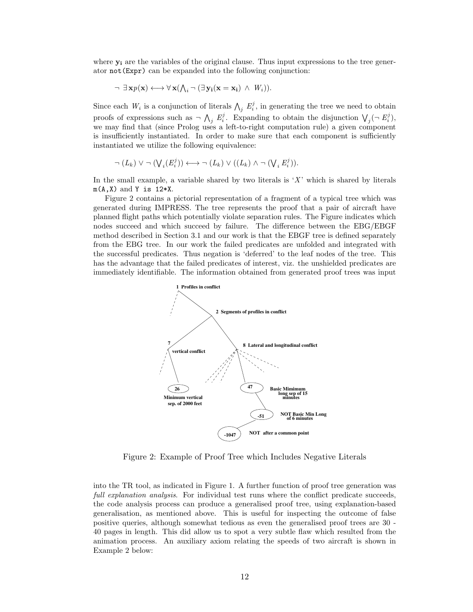where  $y_i$  are the variables of the original clause. Thus input expressions to the tree generator not(Expr) can be expanded into the following conjunction:

$$
\neg \ \exists \mathbf{x} p(\mathbf{x}) \longleftrightarrow \forall \mathbf{x} (\bigwedge_i \neg (\exists \mathbf{y_i}(\mathbf{x} = \mathbf{x_i}) \land W_i)).
$$

Since each  $W_i$  is a conjunction of literals  $\bigwedge_j E_i^j$ , in generating the tree we need to obtain proofs of expressions such as  $\neg \bigwedge_j E_i^j$ . Expanding to obtain the disjunction  $\bigvee_j (\neg E_i^j)$ , we may find that (since Prolog uses a left-to-right computation rule) a given component is insufficiently instantiated. In order to make sure that each component is sufficiently instantiated we utilize the following equivalence:

$$
\neg(L_k) \vee \neg(\bigvee_i (E_i^j)) \longleftrightarrow \neg(L_k) \vee ((L_k) \wedge \neg(\bigvee_i E_i^j)).
$$

In the small example, a variable shared by two literals is 'X' which is shared by literals  $m(A, X)$  and Y is 12\*X.

Figure 2 contains a pictorial representation of a fragment of a typical tree which was generated during IMPRESS. The tree represents the proof that a pair of aircraft have planned flight paths which potentially violate separation rules. The Figure indicates which nodes succeed and which succeed by failure. The difference between the EBG/EBGF method described in Section 3.1 and our work is that the EBGF tree is defined separately from the EBG tree. In our work the failed predicates are unfolded and integrated with the successful predicates. Thus negation is 'deferred' to the leaf nodes of the tree. This has the advantage that the failed predicates of interest, viz. the unshielded predicates are immediately identifiable. The information obtained from generated proof trees was input



Figure 2: Example of Proof Tree which Includes Negative Literals

into the TR tool, as indicated in Figure 1. A further function of proof tree generation was full explanation analysis. For individual test runs where the conflict predicate succeeds, the code analysis process can produce a generalised proof tree, using explanation-based generalisation, as mentioned above. This is useful for inspecting the outcome of false positive queries, although somewhat tedious as even the generalised proof trees are 30 - 40 pages in length. This did allow us to spot a very subtle flaw which resulted from the animation process. An auxiliary axiom relating the speeds of two aircraft is shown in Example 2 below: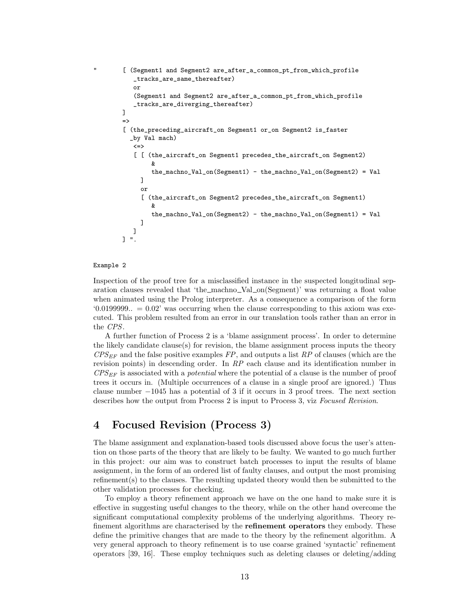```
[ (Segment1 and Segment2 are_after_a_common_pt_from_which_profile
   _tracks_are_same_thereafter)
   or
   (Segment1 and Segment2 are_after_a_common_pt_from_which_profile
   _tracks_are_diverging_thereafter)
]
\Rightarrow[ (the_preceding_aircraft_on Segment1 or_on Segment2 is_faster
  _by Val mach)
   <=>
   [ [ (the_aircraft_on Segment1 precedes_the_aircraft_on Segment2)
        &
        the_machno_Val_on(Segment1) - the_machno_Val_on(Segment2) = Val
     ]
     or
     [ (the_aircraft_on Segment2 precedes_the_aircraft_on Segment1)
        &
        the_machno_Val_on(Segment2) - the_machno_Val_on(Segment1) = Val
     ]
   ]
] ".
```
#### Example 2

Inspection of the proof tree for a misclassified instance in the suspected longitudinal separation clauses revealed that 'the\_machno\_Val\_on(Segment)' was returning a float value when animated using the Prolog interpreter. As a consequence a comparison of the form  $(0.0199999...) = 0.02$  was occurring when the clause corresponding to this axiom was executed. This problem resulted from an error in our translation tools rather than an error in the CPS.

A further function of Process 2 is a 'blame assignment process'. In order to determine the likely candidate clause(s) for revision, the blame assignment process inputs the theory  $CPS_{EF}$  and the false positive examples FP, and outputs a list RP of clauses (which are the revision points) in descending order. In RP each clause and its identification number in  $CPS_{EF}$  is associated with a *potential* where the potential of a clause is the number of proof trees it occurs in. (Multiple occurrences of a clause in a single proof are ignored.) Thus clause number −1045 has a potential of 3 if it occurs in 3 proof trees. The next section describes how the output from Process 2 is input to Process 3, viz Focused Revision.

### 4 Focused Revision (Process 3)

The blame assignment and explanation-based tools discussed above focus the user's attention on those parts of the theory that are likely to be faulty. We wanted to go much further in this project: our aim was to construct batch processes to input the results of blame assignment, in the form of an ordered list of faulty clauses, and output the most promising refinement(s) to the clauses. The resulting updated theory would then be submitted to the other validation processes for checking.

To employ a theory refinement approach we have on the one hand to make sure it is effective in suggesting useful changes to the theory, while on the other hand overcome the significant computational complexity problems of the underlying algorithms. Theory refinement algorithms are characterised by the refinement operators they embody. These define the primitive changes that are made to the theory by the refinement algorithm. A very general approach to theory refinement is to use coarse grained 'syntactic' refinement operators [39, 16]. These employ techniques such as deleting clauses or deleting/adding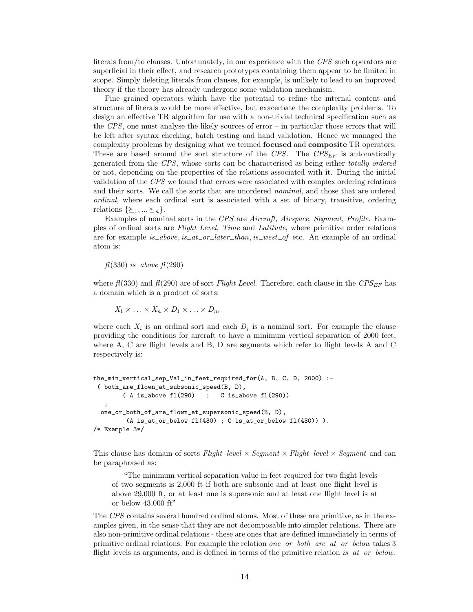literals from/to clauses. Unfortunately, in our experience with the CPS such operators are superficial in their effect, and research prototypes containing them appear to be limited in scope. Simply deleting literals from clauses, for example, is unlikely to lead to an improved theory if the theory has already undergone some validation mechanism.

Fine grained operators which have the potential to refine the internal content and structure of literals would be more effective, but exacerbate the complexity problems. To design an effective TR algorithm for use with a non-trivial technical specification such as the CPS, one must analyse the likely sources of error – in particular those errors that will be left after syntax checking, batch testing and hand validation. Hence we managed the complexity problems by designing what we termed focused and composite TR operators. These are based around the sort structure of the  $CPS$ . The  $CPS_{EF}$  is automatically generated from the CPS, whose sorts can be characterised as being either totally ordered or not, depending on the properties of the relations associated with it. During the initial validation of the CPS we found that errors were associated with complex ordering relations and their sorts. We call the sorts that are unordered nominal, and those that are ordered ordinal, where each ordinal sort is associated with a set of binary, transitive, ordering relations  $\{\succeq_1, \ldots, \succeq_n\}.$ 

Examples of nominal sorts in the CPS are Aircraft, Airspace, Segment, Profile. Examples of ordinal sorts are Flight Level, Time and Latitude, where primitive order relations are for example is  $\_above, is\_at\_or\_later\_than, is\_west\_of$  etc. An example of an ordinal atom is:

 $f1(330)$  is *above*  $f1(290)$ 

where  $f(330)$  and  $f(290)$  are of sort Flight Level. Therefore, each clause in the  $CPS_{EF}$  has a domain which is a product of sorts:

 $X_1 \times \ldots \times X_n \times D_1 \times \ldots \times D_m$ 

where each  $X_i$  is an ordinal sort and each  $D_j$  is a nominal sort. For example the clause providing the conditions for aircraft to have a minimum vertical separation of 2000 feet, where A, C are flight levels and B, D are segments which refer to flight levels A and C respectively is:

```
the_min_vertical_sep_Val_in_feet_required_for(A, B, C, D, 2000) :-
 ( both_are_flown_at_subsonic_speed(B, D),
        ( A is_above fl(290) ; C is_above fl(290))
   ;
  one_or_both_of_are_flown_at_supersonic_speed(B, D),
         (A is_at_or_below fl(430) ; C is_at_or_below fl(430)) ).
/* Example 3*/
```
This clause has domain of sorts  $Flight\_level \times Segment \times Flight\_level \times Segment$  and can be paraphrased as:

"The minimum vertical separation value in feet required for two flight levels of two segments is 2,000 ft if both are subsonic and at least one flight level is above 29,000 ft, or at least one is supersonic and at least one flight level is at or below 43,000 ft"

The CPS contains several hundred ordinal atoms. Most of these are primitive, as in the examples given, in the sense that they are not decomposable into simpler relations. There are also non-primitive ordinal relations - these are ones that are defined immediately in terms of primitive ordinal relations. For example the relation  $one\_or\_both\_are\_at\_or\_below$  takes 3 flight levels as arguments, and is defined in terms of the primitive relation  $is\_at\_or\_below$ .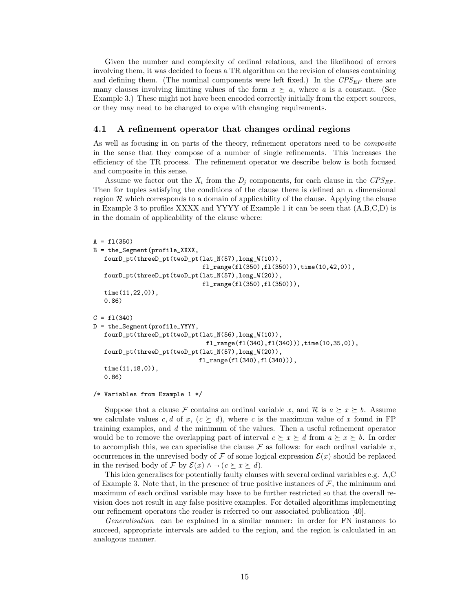Given the number and complexity of ordinal relations, and the likelihood of errors involving them, it was decided to focus a TR algorithm on the revision of clauses containing and defining them. (The nominal components were left fixed.) In the  $CPS_{EF}$  there are many clauses involving limiting values of the form  $x \succeq a$ , where a is a constant. (See Example 3.) These might not have been encoded correctly initially from the expert sources, or they may need to be changed to cope with changing requirements.

#### 4.1 A refinement operator that changes ordinal regions

As well as focusing in on parts of the theory, refinement operators need to be composite in the sense that they compose of a number of single refinements. This increases the efficiency of the TR process. The refinement operator we describe below is both focused and composite in this sense.

Assume we factor out the  $X_i$  from the  $D_i$  components, for each clause in the  $CPS_{EF}$ . Then for tuples satisfying the conditions of the clause there is defined an  $n$  dimensional region  $\mathcal R$  which corresponds to a domain of applicability of the clause. Applying the clause in Example 3 to profiles XXXX and YYYY of Example 1 it can be seen that (A,B,C,D) is in the domain of applicability of the clause where:

```
A = f1(350)B = the_Segment(profile_XXXX,
   fourD_pt(threeD_pt(twoD_pt(lat_N(57),long_W(10)),
                              fl_range(fl(350),fl(350))),time(10,42,0)),
   fourD_pt(threeD_pt(twoD_pt(lat_N(57),long_W(20)),
                              fl_range(fl(350),fl(350))),
   time(11,22,0)),
   0.86)
C = f1(340)D = the_Segment(profile_YYYY,
   fourD_pt(threeD_pt(twoD_pt(lat_N(56),long_W(10)),
                               fl_range(fl(340),fl(340))),time(10,35,0)),
   fourD_pt(threeD_pt(twoD_pt(lat_N(57),long_W(20)),
                             fl_range(fl(340),fl(340))),
   time(11,18,0)),
   0.86)
```
Suppose that a clause F contains an ordinal variable x, and R is  $a \succeq x \succeq b$ . Assume we calculate values c, d of x,  $(c \geq d)$ , where c is the maximum value of x found in FP training examples, and d the minimum of the values. Then a useful refinement operator would be to remove the overlapping part of interval  $c \succeq x \succeq d$  from  $a \succeq x \succeq b$ . In order to accomplish this, we can specialise the clause  $\mathcal F$  as follows: for each ordinal variable x, occurrences in the unrevised body of F of some logical expression  $\mathcal{E}(x)$  should be replaced in the revised body of F by  $\mathcal{E}(x) \wedge \neg (c \succeq x \succeq d)$ .

This idea generalises for potentially faulty clauses with several ordinal variables e.g. A,C of Example 3. Note that, in the presence of true positive instances of  $\mathcal{F}$ , the minimum and maximum of each ordinal variable may have to be further restricted so that the overall revision does not result in any false positive examples. For detailed algorithms implementing our refinement operators the reader is referred to our associated publication [40].

Generalisation can be explained in a similar manner: in order for FN instances to succeed, appropriate intervals are added to the region, and the region is calculated in an analogous manner.

<sup>/\*</sup> Variables from Example 1 \*/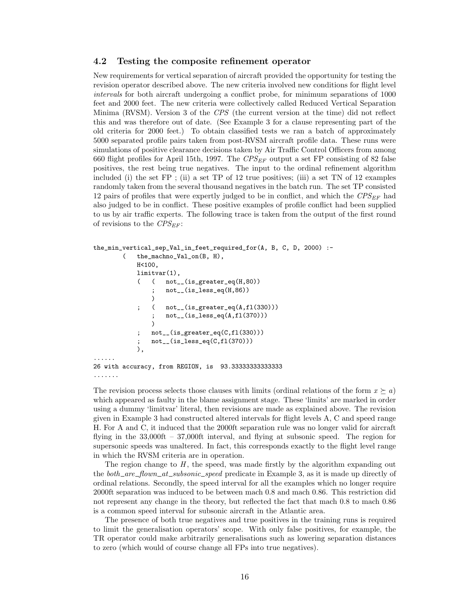#### 4.2 Testing the composite refinement operator

New requirements for vertical separation of aircraft provided the opportunity for testing the revision operator described above. The new criteria involved new conditions for flight level intervals for both aircraft undergoing a conflict probe, for minimum separations of 1000 feet and 2000 feet. The new criteria were collectively called Reduced Vertical Separation Minima (RVSM). Version 3 of the CPS (the current version at the time) did not reflect this and was therefore out of date. (See Example 3 for a clause representing part of the old criteria for 2000 feet.) To obtain classified tests we ran a batch of approximately 5000 separated profile pairs taken from post-RVSM aircraft profile data. These runs were simulations of positive clearance decisions taken by Air Traffic Control Officers from among 660 flight profiles for April 15th, 1997. The  $CPS_{EF}$  output a set FP consisting of 82 false positives, the rest being true negatives. The input to the ordinal refinement algorithm included (i) the set  $FP$ ; (ii) a set  $TP$  of 12 true positives; (iii) a set  $TN$  of 12 examples randomly taken from the several thousand negatives in the batch run. The set TP consisted 12 pairs of profiles that were expertly judged to be in conflict, and which the  $CPS_{EF}$  had also judged to be in conflict. These positive examples of profile conflict had been supplied to us by air traffic experts. The following trace is taken from the output of the first round of revisions to the  $CPS_{EF}$ :

```
the_min_vertical_sep_Val_in_feet_required_for(A, B, C, D, 2000) :-
        ( the_machno_Val_on(B, H),
            H<100,
            limitvar(1),
            ( ( not_{-(is\_greater\_eq(H,80))}); not__(is_less_eq(H,86))
                )
            ; ( not__(is_greater_eq(A,fl(330)))
                    not_{-} (is_lless_{eq}(A, f1(370))))
                ; not__(is_greater_eq(C,fl(330)))
            ; not__(is_less_eq(C,fl(370)))
            ),
......
26 with accuracy, from REGION, is 93.33333333333333
.......
```
The revision process selects those clauses with limits (ordinal relations of the form  $x \succeq a$ ) which appeared as faulty in the blame assignment stage. These 'limits' are marked in order using a dummy 'limitvar' literal, then revisions are made as explained above. The revision given in Example 3 had constructed altered intervals for flight levels A, C and speed range H. For A and C, it induced that the 2000ft separation rule was no longer valid for aircraft flying in the 33,000ft – 37,000ft interval, and flying at subsonic speed. The region for supersonic speeds was unaltered. In fact, this corresponds exactly to the flight level range in which the RVSM criteria are in operation.

The region change to  $H$ , the speed, was made firstly by the algorithm expanding out the *both\_are\_flown\_at\_subsonic\_speed* predicate in Example 3, as it is made up directly of ordinal relations. Secondly, the speed interval for all the examples which no longer require 2000ft separation was induced to be between mach 0.8 and mach 0.86. This restriction did not represent any change in the theory, but reflected the fact that mach 0.8 to mach 0.86 is a common speed interval for subsonic aircraft in the Atlantic area.

The presence of both true negatives and true positives in the training runs is required to limit the generalisation operators' scope. With only false positives, for example, the TR operator could make arbitrarily generalisations such as lowering separation distances to zero (which would of course change all FPs into true negatives).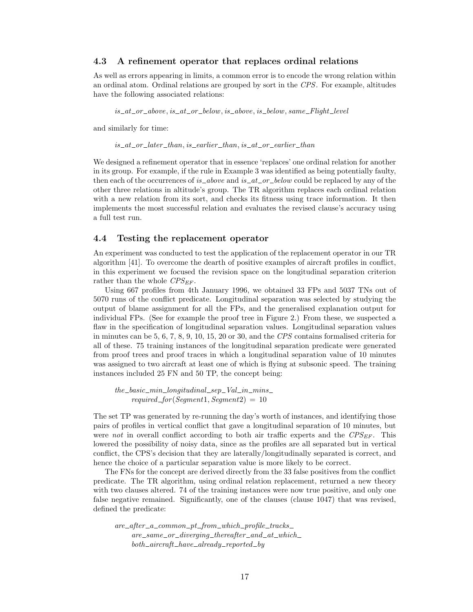#### 4.3 A refinement operator that replaces ordinal relations

As well as errors appearing in limits, a common error is to encode the wrong relation within an ordinal atom. Ordinal relations are grouped by sort in the CPS. For example, altitudes have the following associated relations:

 $is\_at\_or\_above, is\_at\_or\_below, is\_above, is\_below, same\_Flight\_level$ 

and similarly for time:

 $is\_at\_or\_later\_than, is\_earlier\_than, is\_at\_or\_earlier\_than$ 

We designed a refinement operator that in essence 'replaces' one ordinal relation for another in its group. For example, if the rule in Example 3 was identified as being potentially faulty, then each of the occurrences of is  $\_above$  and is  $\_at\_or\_below$  could be replaced by any of the other three relations in altitude's group. The TR algorithm replaces each ordinal relation with a new relation from its sort, and checks its fitness using trace information. It then implements the most successful relation and evaluates the revised clause's accuracy using a full test run.

#### 4.4 Testing the replacement operator

An experiment was conducted to test the application of the replacement operator in our TR algorithm [41]. To overcome the dearth of positive examples of aircraft profiles in conflict, in this experiment we focused the revision space on the longitudinal separation criterion rather than the whole  $CPS_{EF}$ .

Using 667 profiles from 4th January 1996, we obtained 33 FPs and 5037 TNs out of 5070 runs of the conflict predicate. Longitudinal separation was selected by studying the output of blame assignment for all the FPs, and the generalised explanation output for individual FPs. (See for example the proof tree in Figure 2.) From these, we suspected a flaw in the specification of longitudinal separation values. Longitudinal separation values in minutes can be 5, 6, 7, 8, 9, 10, 15, 20 or 30, and the CPS contains formalised criteria for all of these. 75 training instances of the longitudinal separation predicate were generated from proof trees and proof traces in which a longitudinal separation value of 10 minutes was assigned to two aircraft at least one of which is flying at subsonic speed. The training instances included 25 FN and 50 TP, the concept being:

```
the\_basic\_min\_longitudinal\_sep\_Val\_in\_mins\_required\_for(Segment1, Segment2) = 10
```
The set TP was generated by re-running the day's worth of instances, and identifying those pairs of profiles in vertical conflict that gave a longitudinal separation of 10 minutes, but were not in overall conflict according to both air traffic experts and the  $CPS_{EF}$ . This lowered the possibility of noisy data, since as the profiles are all separated but in vertical conflict, the CPS's decision that they are laterally/longitudinally separated is correct, and hence the choice of a particular separation value is more likely to be correct.

The FNs for the concept are derived directly from the 33 false positives from the conflict predicate. The TR algorithm, using ordinal relation replacement, returned a new theory with two clauses altered. 74 of the training instances were now true positive, and only one false negative remained. Significantly, one of the clauses (clause 1047) that was revised, defined the predicate:

 $are_{a}fter_{a}\_common_{p}t_{from\_which\_profile\_tracks\_$  $are\_same\_or\_diverging\_thereafter\_and\_at\_which\_$  $both\_aircraft\_have\_already\_reported\_by$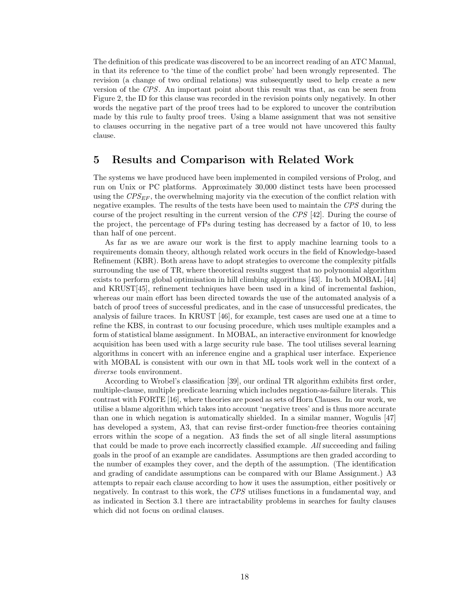The definition of this predicate was discovered to be an incorrect reading of an ATC Manual, in that its reference to 'the time of the conflict probe' had been wrongly represented. The revision (a change of two ordinal relations) was subsequently used to help create a new version of the CPS. An important point about this result was that, as can be seen from Figure 2, the ID for this clause was recorded in the revision points only negatively. In other words the negative part of the proof trees had to be explored to uncover the contribution made by this rule to faulty proof trees. Using a blame assignment that was not sensitive to clauses occurring in the negative part of a tree would not have uncovered this faulty clause.

### 5 Results and Comparison with Related Work

The systems we have produced have been implemented in compiled versions of Prolog, and run on Unix or PC platforms. Approximately 30,000 distinct tests have been processed using the  $CPS_{EF}$ , the overwhelming majority via the execution of the conflict relation with negative examples. The results of the tests have been used to maintain the CPS during the course of the project resulting in the current version of the CPS [42]. During the course of the project, the percentage of FPs during testing has decreased by a factor of 10, to less than half of one percent.

As far as we are aware our work is the first to apply machine learning tools to a requirements domain theory, although related work occurs in the field of Knowledge-based Refinement (KBR). Both areas have to adopt strategies to overcome the complexity pitfalls surrounding the use of TR, where theoretical results suggest that no polynomial algorithm exists to perform global optimisation in hill climbing algorithms [43]. In both MOBAL [44] and KRUST[45], refinement techniques have been used in a kind of incremental fashion, whereas our main effort has been directed towards the use of the automated analysis of a batch of proof trees of successful predicates, and in the case of unsuccessful predicates, the analysis of failure traces. In KRUST [46], for example, test cases are used one at a time to refine the KBS, in contrast to our focusing procedure, which uses multiple examples and a form of statistical blame assignment. In MOBAL, an interactive environment for knowledge acquisition has been used with a large security rule base. The tool utilises several learning algorithms in concert with an inference engine and a graphical user interface. Experience with MOBAL is consistent with our own in that ML tools work well in the context of a diverse tools environment.

According to Wrobel's classification [39], our ordinal TR algorithm exhibits first order, multiple-clause, multiple predicate learning which includes negation-as-failure literals. This contrast with FORTE [16], where theories are posed as sets of Horn Clauses. In our work, we utilise a blame algorithm which takes into account 'negative trees' and is thus more accurate than one in which negation is automatically shielded. In a similar manner, Wogulis [47] has developed a system, A3, that can revise first-order function-free theories containing errors within the scope of a negation. A3 finds the set of all single literal assumptions that could be made to prove each incorrectly classified example. All succeeding and failing goals in the proof of an example are candidates. Assumptions are then graded according to the number of examples they cover, and the depth of the assumption. (The identification and grading of candidate assumptions can be compared with our Blame Assignment.) A3 attempts to repair each clause according to how it uses the assumption, either positively or negatively. In contrast to this work, the CPS utilises functions in a fundamental way, and as indicated in Section 3.1 there are intractability problems in searches for faulty clauses which did not focus on ordinal clauses.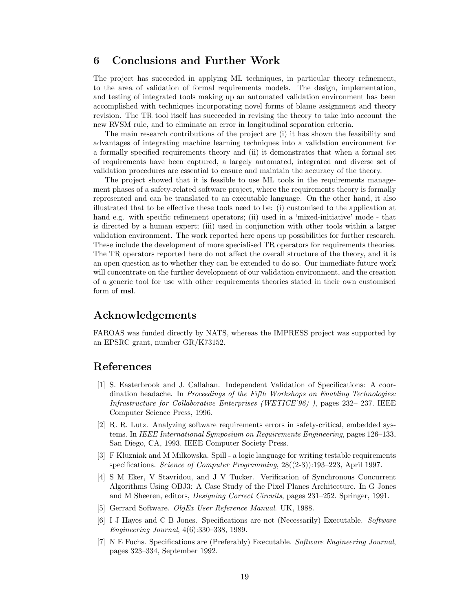### 6 Conclusions and Further Work

The project has succeeded in applying ML techniques, in particular theory refinement, to the area of validation of formal requirements models. The design, implementation, and testing of integrated tools making up an automated validation environment has been accomplished with techniques incorporating novel forms of blame assignment and theory revision. The TR tool itself has succeeded in revising the theory to take into account the new RVSM rule, and to eliminate an error in longitudinal separation criteria.

The main research contributions of the project are (i) it has shown the feasibility and advantages of integrating machine learning techniques into a validation environment for a formally specified requirements theory and (ii) it demonstrates that when a formal set of requirements have been captured, a largely automated, integrated and diverse set of validation procedures are essential to ensure and maintain the accuracy of the theory.

The project showed that it is feasible to use ML tools in the requirements management phases of a safety-related software project, where the requirements theory is formally represented and can be translated to an executable language. On the other hand, it also illustrated that to be effective these tools need to be: (i) customised to the application at hand e.g. with specific refinement operators; (ii) used in a 'mixed-initiative' mode - that is directed by a human expert; (iii) used in conjunction with other tools within a larger validation environment. The work reported here opens up possibilities for further research. These include the development of more specialised TR operators for requirements theories. The TR operators reported here do not affect the overall structure of the theory, and it is an open question as to whether they can be extended to do so. Our immediate future work will concentrate on the further development of our validation environment, and the creation of a generic tool for use with other requirements theories stated in their own customised form of msl.

### Acknowledgements

FAROAS was funded directly by NATS, whereas the IMPRESS project was supported by an EPSRC grant, number GR/K73152.

# References

- [1] S. Easterbrook and J. Callahan. Independent Validation of Specifications: A coordination headache. In Proceedings of the Fifth Workshops on Enabling Technologies: Infrastructure for Collaborative Enterprises (WETICE'96) ), pages 232– 237. IEEE Computer Science Press, 1996.
- [2] R. R. Lutz. Analyzing software requirements errors in safety-critical, embedded systems. In IEEE International Symposium on Requirements Engineering, pages 126–133, San Diego, CA, 1993. IEEE Computer Society Press.
- [3] F Kluzniak and M Milkowska. Spill a logic language for writing testable requirements specifications. Science of Computer Programming, 28((2-3)):193–223, April 1997.
- [4] S M Eker, V Stavridou, and J V Tucker. Verification of Synchronous Concurrent Algorithms Using OBJ3: A Case Study of the Pixel Planes Architecture. In G Jones and M Sheeren, editors, Designing Correct Circuits, pages 231–252. Springer, 1991.
- [5] Gerrard Software. ObjEx User Reference Manual. UK, 1988.
- [6] I J Hayes and C B Jones. Specifications are not (Necessarily) Executable. Software Engineering Journal, 4(6):330–338, 1989.
- [7] N E Fuchs. Specifications are (Preferably) Executable. Software Engineering Journal, pages 323–334, September 1992.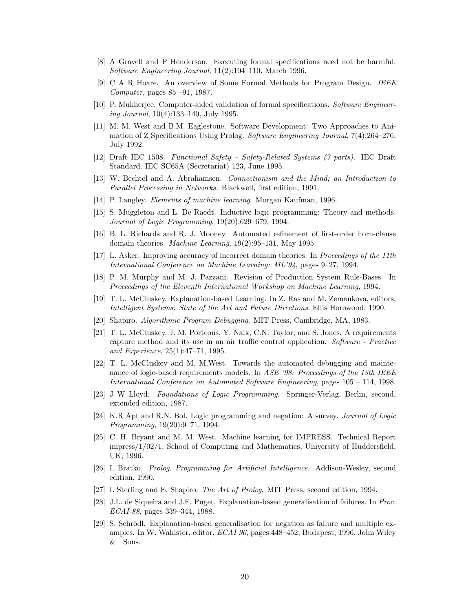- [8] A Gravell and P Henderson. Executing formal specifications need not be harmful. Software Engineering Journal, 11(2):104–110, March 1996.
- [9] C A R Hoare. An overview of Some Formal Methods for Program Design. IEEE Computer, pages 85 –91, 1987.
- [10] P. Mukherjee. Computer-aided validation of formal specifications. Software Engineering Journal, 10(4):133–140, July 1995.
- [11] M. M. West and B.M. Eaglestone. Software Development: Two Approaches to Animation of Z Specifications Using Prolog. Software Engineering Journal, 7(4):264–276, July 1992.
- [12] Draft IEC 1508. Functional Safety Safety-Related Systems (7 parts). IEC Draft Standard. IEC SC65A (Secretariat) 123, June 1995.
- [13] W. Bechtel and A. Abrahamsen. Connectionism and the Mind; an Introduction to Parallel Processing in Networks. Blackwell, first edition, 1991.
- [14] P. Langley. Elements of machine learning. Morgan Kaufman, 1996.
- [15] S. Muggleton and L. De Raedt. Inductive logic programming: Theory and methods. Journal of Logic Programming, 19(20):629–679, 1994.
- [16] B. L. Richards and R. J. Mooney. Automated refinement of first-order horn-clause domain theories. Machine Learning, 19(2):95–131, May 1995.
- [17] L. Asker. Improving accuracy of incorrect domain theories. In Proceedings of the 11th International Conference on Machine Learning: ML'94, pages 9–27, 1994.
- [18] P. M. Murphy and M. J. Pazzani. Revision of Production System Rule-Bases. In Proceedings of the Eleventh International Workshop on Machine Learning, 1994.
- [19] T. L. McCluskey. Explanation-based Learning. In Z. Ras and M. Zemankova, editors, Intelligent Systems: State of the Art and Future Directions. Ellis Horowood, 1990.
- [20] Shapiro. Algorithmic Program Debugging. MIT Press, Cambridge, MA, 1983.
- [21] T. L. McCluskey, J. M. Porteous, Y. Naik, C.N. Taylor, and S. Jones. A requirements capture method and its use in an air traffic control application. Software - Practice and Experience, 25(1):47–71, 1995.
- [22] T. L. McCluskey and M. M.West. Towards the automated debugging and maintenance of logic-based requirements models. In ASE '98: Proceedings of the 13th IEEE International Conference on Automated Software Engineering, pages 105 – 114, 1998.
- [23] J W Lloyd. Foundations of Logic Programming. Springer-Verlag, Berlin, second, extended edition, 1987.
- [24] K.R Apt and R.N. Bol. Logic programming and negation: A survey. Journal of Logic Programming, 19(20):9–71, 1994.
- [25] C. H. Bryant and M. M. West. Machine learning for IMPRESS. Technical Report impress/1/02/1, School of Computing and Mathematics, University of Huddersfield, UK, 1996.
- [26] I. Bratko. Prolog. Programming for Artificial Intelligence. Addison-Wesley, second edition, 1990.
- [27] L Sterling and E. Shapiro. The Art of Prolog. MIT Press, second edition, 1994.
- [28] J.L. de Siqueira and J.F. Puget. Explanation-based generalisation of failures. In Proc. ECAI-88, pages 339–344, 1988.
- [29] S. Schrödl. Explanation-based generalisation for negation as failure and multiple examples. In W. Wahlster, editor, ECAI 96, pages 448–452, Budapest, 1996. John Wiley & Sons.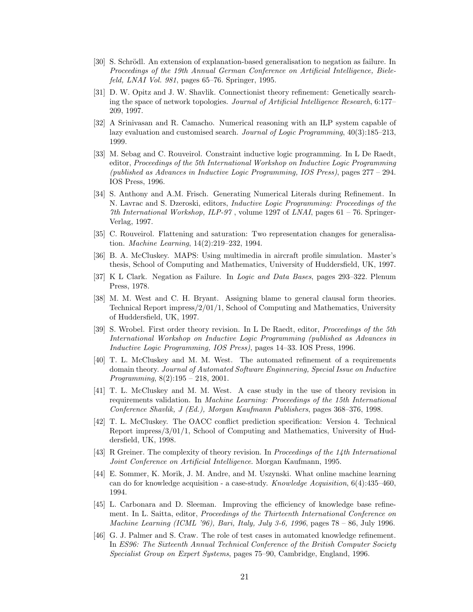- [30] S. Schrödl. An extension of explanation-based generalisation to negation as failure. In Proceedings of the 19th Annual German Conference on Artificial Intelligence, Bielefeld, LNAI Vol. 981, pages 65–76. Springer, 1995.
- [31] D. W. Opitz and J. W. Shavlik. Connectionist theory refinement: Genetically searching the space of network topologies. Journal of Artificial Intelligence Research, 6:177– 209, 1997.
- [32] A Srinivasan and R. Camacho. Numerical reasoning with an ILP system capable of lazy evaluation and customised search. Journal of Logic Programming, 40(3):185–213, 1999.
- [33] M. Sebag and C. Rouveirol. Constraint inductive logic programming. In L De Raedt, editor, Proceedings of the 5th International Workshop on Inductive Logic Programming (published as Advances in Inductive Logic Programming, IOS Press), pages 277 – 294. IOS Press, 1996.
- [34] S. Anthony and A.M. Frisch. Generating Numerical Literals during Refinement. In N. Lavrac and S. Dzeroski, editors, Inductive Logic Programming: Proceedings of the 7th International Workshop, ILP-97 , volume 1297 of LNAI, pages 61 – 76. Springer-Verlag, 1997.
- [35] C. Rouveirol. Flattening and saturation: Two representation changes for generalisation. Machine Learning, 14(2):219–232, 1994.
- [36] B. A. McCluskey. MAPS: Using multimedia in aircraft profile simulation. Master's thesis, School of Computing and Mathematics, University of Huddersfield, UK, 1997.
- [37] K L Clark. Negation as Failure. In Logic and Data Bases, pages 293–322. Plenum Press, 1978.
- [38] M. M. West and C. H. Bryant. Assigning blame to general clausal form theories. Technical Report impress/2/01/1, School of Computing and Mathematics, University of Huddersfield, UK, 1997.
- [39] S. Wrobel. First order theory revision. In L De Raedt, editor, Proceedings of the 5th International Workshop on Inductive Logic Programming (published as Advances in Inductive Logic Programming, IOS Press), pages 14–33. IOS Press, 1996.
- [40] T. L. McCluskey and M. M. West. The automated refinement of a requirements domain theory. Journal of Automated Software Enginnering, Special Issue on Inductive *Programming*,  $8(2):195 - 218$ , 2001.
- [41] T. L. McCluskey and M. M. West. A case study in the use of theory revision in requirements validation. In Machine Learning: Proceedings of the 15th International Conference Shavlik, J (Ed.), Morgan Kaufmann Publishers, pages 368–376, 1998.
- [42] T. L. McCluskey. The OACC conflict prediction specification: Version 4. Technical Report impress/3/01/1, School of Computing and Mathematics, University of Huddersfield, UK, 1998.
- [43] R Greiner. The complexity of theory revision. In Proceedings of the 14th International Joint Conference on Artificial Intelligence. Morgan Kaufmann, 1995.
- [44] E. Sommer, K. Morik, J. M. Andre, and M. Uszynski. What online machine learning can do for knowledge acquisition - a case-study. Knowledge Acquisition,  $6(4):435-460$ , 1994.
- [45] L. Carbonara and D. Sleeman. Improving the efficiency of knowledge base refinement. In L. Saitta, editor, Proceedings of the Thirteenth International Conference on Machine Learning (ICML '96), Bari, Italy, July 3-6, 1996, pages 78 – 86, July 1996.
- [46] G. J. Palmer and S. Craw. The role of test cases in automated knowledge refinement. In ES96: The Sixteenth Annual Technical Conference of the British Computer Society Specialist Group on Expert Systems, pages 75–90, Cambridge, England, 1996.